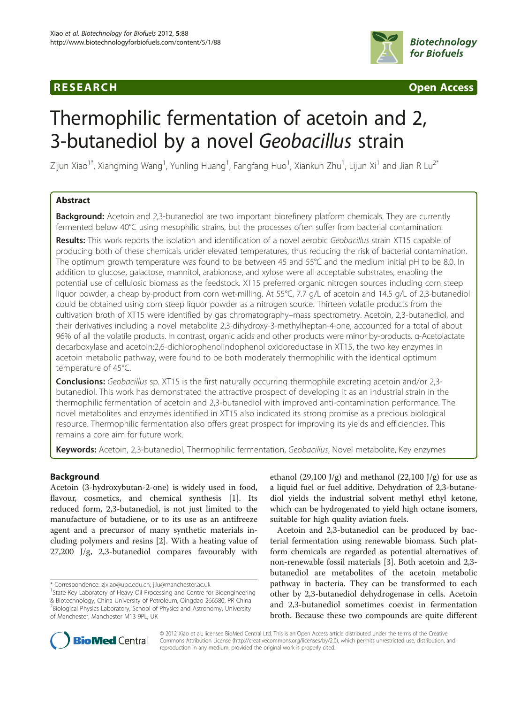## **RESEARCH CHING CONSUMING CONSUMING CONSUMING CONSUMING CONSUMING CONSUMING CONSUMING CONSUMING CONSUMING CONSUMING CONSUMING CONSUMING CONSUMING CONSUMING CONSUMING CONSUMING CONSUMING CONSUMING CONSUMING CONSUMING CONS**



# Thermophilic fermentation of acetoin and 2, 3-butanediol by a novel Geobacillus strain

Zijun Xiao $^{\rm 1*}$ , Xiangming Wang $^{\rm 1}$ , Yunling Huang $^{\rm 1}$ , Fangfang Huo $^{\rm 1}$ , Xiankun Zhu $^{\rm 1}$ , Lijun Xi $^{\rm 1}$  and Jian R Lu $^{\rm 2*}$ 

## Abstract

**Background:** Acetoin and 2,3-butanediol are two important biorefinery platform chemicals. They are currently fermented below 40°C using mesophilic strains, but the processes often suffer from bacterial contamination.

Results: This work reports the isolation and identification of a novel aerobic Geobacillus strain XT15 capable of producing both of these chemicals under elevated temperatures, thus reducing the risk of bacterial contamination. The optimum growth temperature was found to be between 45 and 55°C and the medium initial pH to be 8.0. In addition to glucose, galactose, mannitol, arabionose, and xylose were all acceptable substrates, enabling the potential use of cellulosic biomass as the feedstock. XT15 preferred organic nitrogen sources including corn steep liquor powder, a cheap by-product from corn wet-milling. At 55°C, 7.7 g/L of acetoin and 14.5 g/L of 2,3-butanediol could be obtained using corn steep liquor powder as a nitrogen source. Thirteen volatile products from the cultivation broth of XT15 were identified by gas chromatography–mass spectrometry. Acetoin, 2,3-butanediol, and their derivatives including a novel metabolite 2,3-dihydroxy-3-methylheptan-4-one, accounted for a total of about 96% of all the volatile products. In contrast, organic acids and other products were minor by-products. α-Acetolactate decarboxylase and acetoin:2,6-dichlorophenolindophenol oxidoreductase in XT15, the two key enzymes in acetoin metabolic pathway, were found to be both moderately thermophilic with the identical optimum temperature of 45°C.

**Conclusions:** Geobacillus sp. XT15 is the first naturally occurring thermophile excreting acetoin and/or 2,3butanediol. This work has demonstrated the attractive prospect of developing it as an industrial strain in the thermophilic fermentation of acetoin and 2,3-butanediol with improved anti-contamination performance. The novel metabolites and enzymes identified in XT15 also indicated its strong promise as a precious biological resource. Thermophilic fermentation also offers great prospect for improving its yields and efficiencies. This remains a core aim for future work.

Keywords: Acetoin, 2,3-butanediol, Thermophilic fermentation, Geobacillus, Novel metabolite, Key enzymes

## Background

Acetoin (3-hydroxybutan-2-one) is widely used in food, flavour, cosmetics, and chemical synthesis [[1\]](#page-9-0). Its reduced form, 2,3-butanediol, is not just limited to the manufacture of butadiene, or to its use as an antifreeze agent and a precursor of many synthetic materials including polymers and resins [\[2](#page-9-0)]. With a heating value of 27,200 J/g, 2,3-butanediol compares favourably with

\* Correspondence: [zjxiao@upc.edu.cn](mailto:zjxiao@upc.edu.cn); [j.lu@manchester.ac.uk](mailto:j.lu@manchester.ac.uk) <sup>1</sup>

ethanol (29,100 J/g) and methanol (22,100 J/g) for use as a liquid fuel or fuel additive. Dehydration of 2,3-butanediol yields the industrial solvent methyl ethyl ketone, which can be hydrogenated to yield high octane isomers, suitable for high quality aviation fuels.

Acetoin and 2,3-butanediol can be produced by bacterial fermentation using renewable biomass. Such platform chemicals are regarded as potential alternatives of non-renewable fossil materials [\[3\]](#page-9-0). Both acetoin and 2,3 butanediol are metabolites of the acetoin metabolic pathway in bacteria. They can be transformed to each other by 2,3-butanediol dehydrogenase in cells. Acetoin and 2,3-butanediol sometimes coexist in fermentation broth. Because these two compounds are quite different



© 2012 Xiao et al.; licensee BioMed Central Ltd. This is an Open Access article distributed under the terms of the Creative Commons Attribution License [\(http://creativecommons.org/licenses/by/2.0\)](http://creativecommons.org/licenses/by/2.0), which permits unrestricted use, distribution, and reproduction in any medium, provided the original work is properly cited.

<sup>&</sup>lt;sup>1</sup>State Key Laboratory of Heavy Oil Processing and Centre for Bioengineering & Biotechnology, China University of Petroleum, Qingdao 266580, PR China <sup>2</sup> Biological Physics Laboratory, School of Physics and Astronomy, University of Manchester, Manchester M13 9PL, UK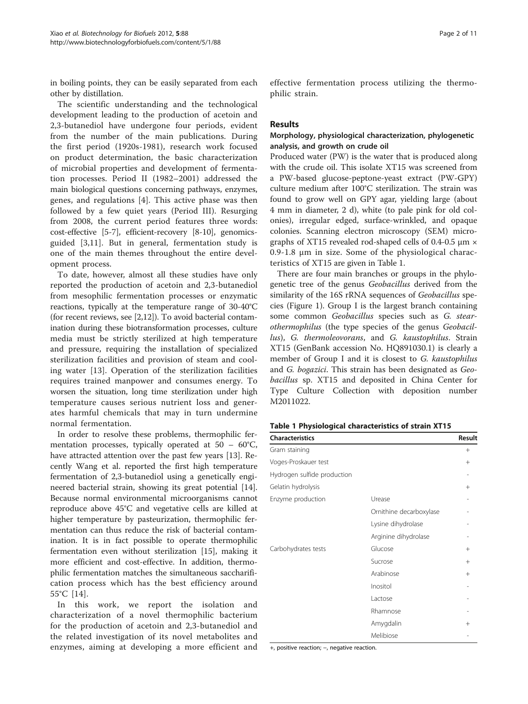in boiling points, they can be easily separated from each other by distillation.

The scientific understanding and the technological development leading to the production of acetoin and 2,3-butanediol have undergone four periods, evident from the number of the main publications. During the first period (1920s-1981), research work focused on product determination, the basic characterization of microbial properties and development of fermentation processes. Period II (1982–2001) addressed the main biological questions concerning pathways, enzymes, genes, and regulations [\[4](#page-9-0)]. This active phase was then followed by a few quiet years (Period III). Resurging from 2008, the current period features three words: cost-effective [[5-7](#page-9-0)], efficient-recovery [\[8-10](#page-9-0)], genomicsguided [[3,11](#page-9-0)]. But in general, fermentation study is one of the main themes throughout the entire development process.

To date, however, almost all these studies have only reported the production of acetoin and 2,3-butanediol from mesophilic fermentation processes or enzymatic reactions, typically at the temperature range of 30-40°C (for recent reviews, see [\[2](#page-9-0)[,12](#page-10-0)]). To avoid bacterial contamination during these biotransformation processes, culture media must be strictly sterilized at high temperature and pressure, requiring the installation of specialized sterilization facilities and provision of steam and cooling water [\[13](#page-10-0)]. Operation of the sterilization facilities requires trained manpower and consumes energy. To worsen the situation, long time sterilization under high temperature causes serious nutrient loss and generates harmful chemicals that may in turn undermine normal fermentation.

In order to resolve these problems, thermophilic fermentation processes, typically operated at  $50 - 60^{\circ}C$ , have attracted attention over the past few years [\[13](#page-10-0)]. Recently Wang et al. reported the first high temperature fermentation of 2,3-butanediol using a genetically engineered bacterial strain, showing its great potential [\[14](#page-10-0)]. Because normal environmental microorganisms cannot reproduce above 45°C and vegetative cells are killed at higher temperature by pasteurization, thermophilic fermentation can thus reduce the risk of bacterial contamination. It is in fact possible to operate thermophilic fermentation even without sterilization [[15\]](#page-10-0), making it more efficient and cost-effective. In addition, thermophilic fermentation matches the simultaneous saccharification process which has the best efficiency around 55°C [[14](#page-10-0)].

In this work, we report the isolation and characterization of a novel thermophilic bacterium for the production of acetoin and 2,3-butanediol and the related investigation of its novel metabolites and enzymes, aiming at developing a more efficient and effective fermentation process utilizing the thermophilic strain.

## Results

## Morphology, physiological characterization, phylogenetic analysis, and growth on crude oil

Produced water (PW) is the water that is produced along with the crude oil. This isolate XT15 was screened from a PW-based glucose-peptone-yeast extract (PW-GPY) culture medium after 100°C sterilization. The strain was found to grow well on GPY agar, yielding large (about 4 mm in diameter, 2 d), white (to pale pink for old colonies), irregular edged, surface-wrinkled, and opaque colonies. Scanning electron microscopy (SEM) micrographs of XT15 revealed rod-shaped cells of 0.4-0.5  $\mu$ m  $\times$ 0.9-1.8 μm in size. Some of the physiological characteristics of XT15 are given in Table 1.

There are four main branches or groups in the phylogenetic tree of the genus Geobacillus derived from the similarity of the 16S rRNA sequences of Geobacillus species (Figure [1\)](#page-2-0). Group I is the largest branch containing some common Geobacillus species such as G. stearothermophilus (the type species of the genus Geobacillus), G. thermoleovorans, and G. kaustophilus. Strain XT15 (GenBank accession No. HQ891030.1) is clearly a member of Group I and it is closest to G. kaustophilus and G. bogazici. This strain has been designated as Geobacillus sp. XT15 and deposited in China Center for Type Culture Collection with deposition number M2011022.

|  |  |  | Table 1 Physiological characteristics of strain XT15 |  |  |  |
|--|--|--|------------------------------------------------------|--|--|--|
|--|--|--|------------------------------------------------------|--|--|--|

| <b>Characteristics</b>      |                         | Result |
|-----------------------------|-------------------------|--------|
| Gram staining               |                         | $^{+}$ |
| Voges-Proskauer test        |                         | $^{+}$ |
| Hydrogen sulfide production |                         |        |
| Gelatin hydrolysis          |                         | $^{+}$ |
| Enzyme production           | Urease                  |        |
|                             | Ornithine decarboxylase |        |
|                             | Lysine dihydrolase      |        |
|                             | Arginine dihydrolase    |        |
| Carbohydrates tests         | Glucose                 | $^{+}$ |
|                             | Sucrose                 | $^{+}$ |
|                             | Arabinose               | $^{+}$ |
|                             | Inositol                |        |
|                             | Lactose                 |        |
|                             | Rhamnose                |        |
|                             | Amygdalin               | $^{+}$ |
|                             | Melibiose               |        |

+, positive reaction; −, negative reaction.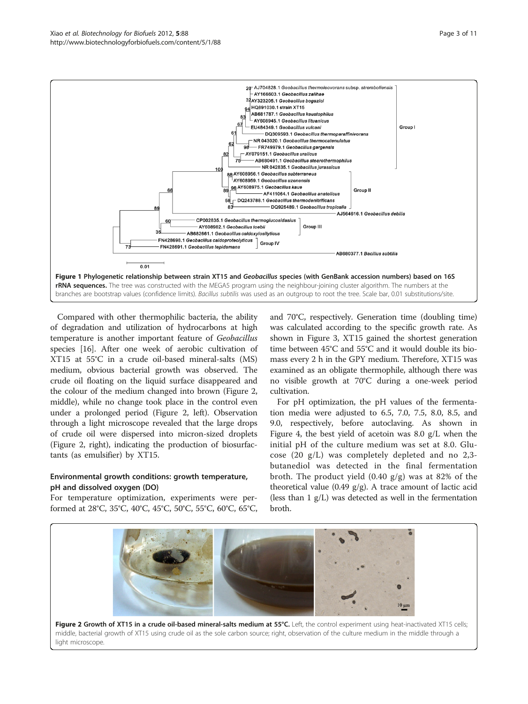<span id="page-2-0"></span>

Compared with other thermophilic bacteria, the ability of degradation and utilization of hydrocarbons at high temperature is another important feature of Geobacillus species [\[16](#page-10-0)]. After one week of aerobic cultivation of XT15 at 55°C in a crude oil-based mineral-salts (MS) medium, obvious bacterial growth was observed. The crude oil floating on the liquid surface disappeared and the colour of the medium changed into brown (Figure 2, middle), while no change took place in the control even under a prolonged period (Figure 2, left). Observation through a light microscope revealed that the large drops of crude oil were dispersed into micron-sized droplets (Figure 2, right), indicating the production of biosurfactants (as emulsifier) by XT15.

## Environmental growth conditions: growth temperature, pH and dissolved oxygen (DO)

For temperature optimization, experiments were performed at 28°C, 35°C, 40°C, 45°C, 50°C, 55°C, 60°C, 65°C, and 70°C, respectively. Generation time (doubling time) was calculated according to the specific growth rate. As shown in Figure [3,](#page-3-0) XT15 gained the shortest generation time between 45°C and 55°C and it would double its biomass every 2 h in the GPY medium. Therefore, XT15 was examined as an obligate thermophile, although there was no visible growth at 70°C during a one-week period cultivation.

For pH optimization, the pH values of the fermentation media were adjusted to 6.5, 7.0, 7.5, 8.0, 8.5, and 9.0, respectively, before autoclaving. As shown in Figure [4,](#page-3-0) the best yield of acetoin was 8.0 g/L when the initial pH of the culture medium was set at 8.0. Glucose (20 g/L) was completely depleted and no 2,3 butanediol was detected in the final fermentation broth. The product yield  $(0.40 \text{ g/g})$  was at 82% of the theoretical value (0.49  $g/g$ ). A trace amount of lactic acid (less than 1 g/L) was detected as well in the fermentation broth.



middle, bacterial growth of XT15 using crude oil as the sole carbon source; right, observation of the culture medium in the middle through a light microscope.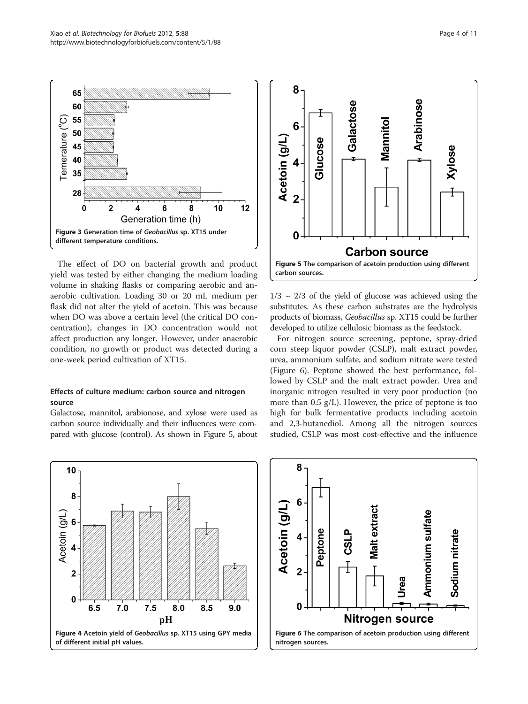<span id="page-3-0"></span>

The effect of DO on bacterial growth and product yield was tested by either changing the medium loading volume in shaking flasks or comparing aerobic and anaerobic cultivation. Loading 30 or 20 mL medium per flask did not alter the yield of acetoin. This was because when DO was above a certain level (the critical DO concentration), changes in DO concentration would not affect production any longer. However, under anaerobic condition, no growth or product was detected during a one-week period cultivation of XT15.

## Effects of culture medium: carbon source and nitrogen source

Galactose, mannitol, arabionose, and xylose were used as carbon source individually and their influences were compared with glucose (control). As shown in Figure 5, about



 $1/3 \sim 2/3$  of the yield of glucose was achieved using the substitutes. As these carbon substrates are the hydrolysis products of biomass, Geobacillus sp. XT15 could be further developed to utilize cellulosic biomass as the feedstock.

For nitrogen source screening, peptone, spray-dried corn steep liquor powder (CSLP), malt extract powder, urea, ammonium sulfate, and sodium nitrate were tested (Figure 6). Peptone showed the best performance, followed by CSLP and the malt extract powder. Urea and inorganic nitrogen resulted in very poor production (no more than 0.5 g/L). However, the price of peptone is too high for bulk fermentative products including acetoin and 2,3-butanediol. Among all the nitrogen sources studied, CSLP was most cost-effective and the influence



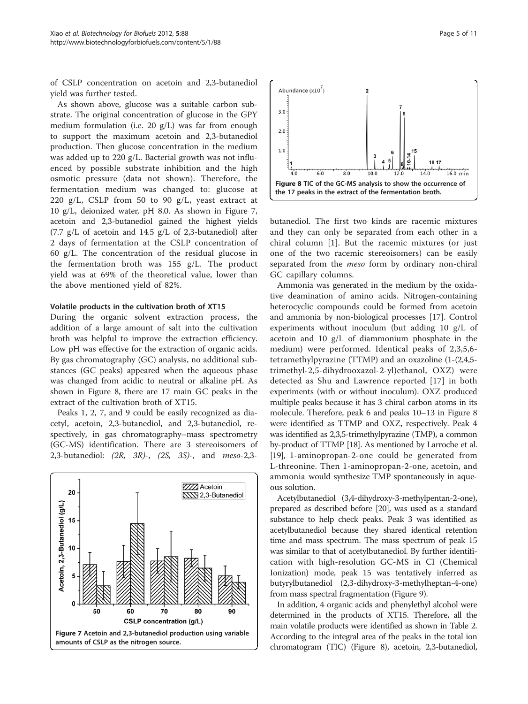<span id="page-4-0"></span>of CSLP concentration on acetoin and 2,3-butanediol yield was further tested.

As shown above, glucose was a suitable carbon substrate. The original concentration of glucose in the GPY medium formulation (i.e. 20 g/L) was far from enough to support the maximum acetoin and 2,3-butanediol production. Then glucose concentration in the medium was added up to 220 g/L. Bacterial growth was not influenced by possible substrate inhibition and the high osmotic pressure (data not shown). Therefore, the fermentation medium was changed to: glucose at 220 g/L, CSLP from 50 to 90 g/L, yeast extract at 10 g/L, deionized water, pH 8.0. As shown in Figure 7, acetoin and 2,3-butanediol gained the highest yields (7.7  $g/L$  of acetoin and 14.5  $g/L$  of 2,3-butanediol) after 2 days of fermentation at the CSLP concentration of 60 g/L. The concentration of the residual glucose in the fermentation broth was 155 g/L. The product yield was at 69% of the theoretical value, lower than the above mentioned yield of 82%.

#### Volatile products in the cultivation broth of XT15

During the organic solvent extraction process, the addition of a large amount of salt into the cultivation broth was helpful to improve the extraction efficiency. Low pH was effective for the extraction of organic acids. By gas chromatography (GC) analysis, no additional substances (GC peaks) appeared when the aqueous phase was changed from acidic to neutral or alkaline pH. As shown in Figure 8, there are 17 main GC peaks in the extract of the cultivation broth of XT15.

Peaks 1, 2, 7, and 9 could be easily recognized as diacetyl, acetoin, 2,3-butanediol, and 2,3-butanediol, respectively, in gas chromatography–mass spectrometry (GC-MS) identification. There are 3 stereoisomers of 2,3-butanediol: (2R, 3R)-, (2S, 3S)-, and meso-2,3-



Abundance  $(x10^7)$  $3.0$  $2.0$  $1.0$  $57$  $\overline{8.0}$  $16.0$  min  $100$ ï.  $140$ Figure 8 TIC of the GC-MS analysis to show the occurrence of the 17 peaks in the extract of the fermentation broth.

butanediol. The first two kinds are racemic mixtures and they can only be separated from each other in a chiral column [\[1](#page-9-0)]. But the racemic mixtures (or just one of the two racemic stereoisomers) can be easily separated from the *meso* form by ordinary non-chiral GC capillary columns.

Ammonia was generated in the medium by the oxidative deamination of amino acids. Nitrogen-containing heterocyclic compounds could be formed from acetoin and ammonia by non-biological processes [[17\]](#page-10-0). Control experiments without inoculum (but adding 10 g/L of acetoin and 10 g/L of diammonium phosphate in the medium) were performed. Identical peaks of 2,3,5,6 tetramethylpyrazine (TTMP) and an oxazoline (1-(2,4,5 trimethyl-2,5-dihydrooxazol-2-yl)ethanol, OXZ) were detected as Shu and Lawrence reported [\[17\]](#page-10-0) in both experiments (with or without inoculum). OXZ produced multiple peaks because it has 3 chiral carbon atoms in its molecule. Therefore, peak 6 and peaks 10–13 in Figure 8 were identified as TTMP and OXZ, respectively. Peak 4 was identified as 2,3,5-trimethylpyrazine (TMP), a common by-product of TTMP [\[18\]](#page-10-0). As mentioned by Larroche et al. [[19](#page-10-0)], 1-aminopropan-2-one could be generated from L-threonine. Then 1-aminopropan-2-one, acetoin, and ammonia would synthesize TMP spontaneously in aqueous solution.

Acetylbutanediol (3,4-dihydroxy-3-methylpentan-2-one), prepared as described before [[20](#page-10-0)], was used as a standard substance to help check peaks. Peak 3 was identified as acetylbutanediol because they shared identical retention time and mass spectrum. The mass spectrum of peak 15 was similar to that of acetylbutanediol. By further identification with high-resolution GC-MS in CI (Chemical Ionization) mode, peak 15 was tentatively inferred as butyrylbutanediol (2,3-dihydroxy-3-methylheptan-4-one) from mass spectral fragmentation (Figure [9\)](#page-5-0).

In addition, 4 organic acids and phenylethyl alcohol were determined in the products of XT15. Therefore, all the main volatile products were identified as shown in Table [2](#page-5-0). According to the integral area of the peaks in the total ion chromatogram (TIC) (Figure 8), acetoin, 2,3-butanediol,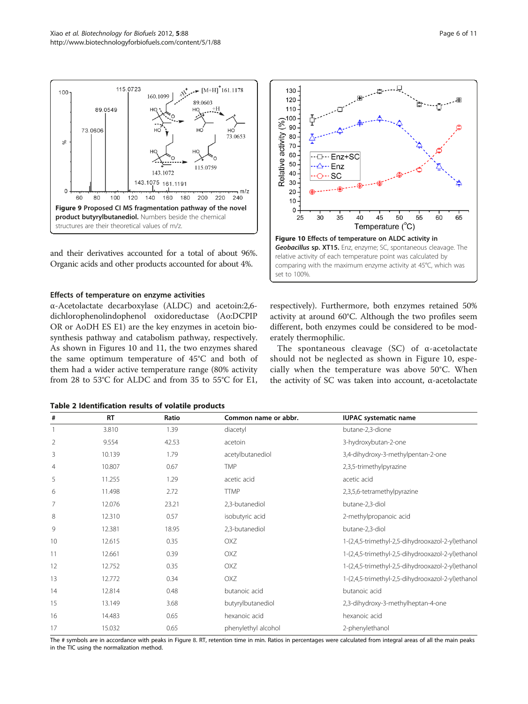and their derivatives accounted for a total of about 96%. Organic acids and other products accounted for about 4%.

#### Effects of temperature on enzyme activities

α-Acetolactate decarboxylase (ALDC) and acetoin:2,6 dichlorophenolindophenol oxidoreductase (Ao:DCPIP OR or AoDH ES E1) are the key enzymes in acetoin biosynthesis pathway and catabolism pathway, respectively. As shown in Figures 10 and [11,](#page-6-0) the two enzymes shared the same optimum temperature of 45°C and both of them had a wider active temperature range (80% activity from 28 to 53°C for ALDC and from 35 to 55°C for E1,



The spontaneous cleavage (SC) of α-acetolactate should not be neglected as shown in Figure 10, especially when the temperature was above 50°C. When the activity of SC was taken into account, α-acetolactate

Table 2 Identification results of volatile products

| The # symbols are in accordance with peaks in Figure 9. PT, retention time in min. Paties in persentages were calculated from integral areas of all the main peaks |        |      |                     |                                                   |  |
|--------------------------------------------------------------------------------------------------------------------------------------------------------------------|--------|------|---------------------|---------------------------------------------------|--|
|                                                                                                                                                                    | 15.032 | 0.65 | phenylethyl alcohol | 2-phenylethanol                                   |  |
| 16                                                                                                                                                                 | 14.483 | 0.65 | hexanoic acid       | hexanoic acid                                     |  |
| 15                                                                                                                                                                 | 13.149 | 3.68 | butyrylbutanediol   | 2,3-dihydroxy-3-methylheptan-4-one                |  |
| 14                                                                                                                                                                 | 2.814  | 0.48 | butanoic acid       | butanoic acid                                     |  |
| 13                                                                                                                                                                 | 2.772  | 0.34 | oxz                 | 1-(2,4,5-trimethyl-2,5-dihydrooxazol-2-yl)ethanol |  |

10 12.615 0.35 OXZ 1-(2,4,5-trimethyl-2,5-dihydrooxazol-2-yl)ethanol 11 12.661 0.39 OXZ 1-(2,4,5-trimethyl-2,5-dihydrooxazol-2-yl)ethanol 12 12.752 0.35 OXZ 1-(2,4,5-trimethyl-2,5-dihydrooxazol-2-yl)ethanol

# RT Ratio Common name or abbr. IUPAC systematic name 1 3.810 1.39 diacetyl butane-2,3-dione 2 9.554 42.53 acetoin 3-hydroxybutan-2-one

4 10.807 0.67 TMP 2,3,5-trimethylpyrazine

6 11.498 2.72 TTMP 2,3,5,6-tetramethylpyrazine

5 11.255 1.29 acetic acid acetic acid

7 12.076 23.21 2,3-butanediol butane-2,3-diol 8 12.310 0.57 isobutyric acid 2-methylpropanoic acid 9 12.381 18.95 2,3-butanediol butane-2,3-diol

3 10.139 1.79 acetylbutanediol 3,4-dihydroxy-3-methylpentan-2-one

in Figure [8](#page-4-0). RT, retention time in min. Ratios in percentages were calculated from integral areas of all the main peaks in the TIC using the normalization method.

<span id="page-5-0"></span>

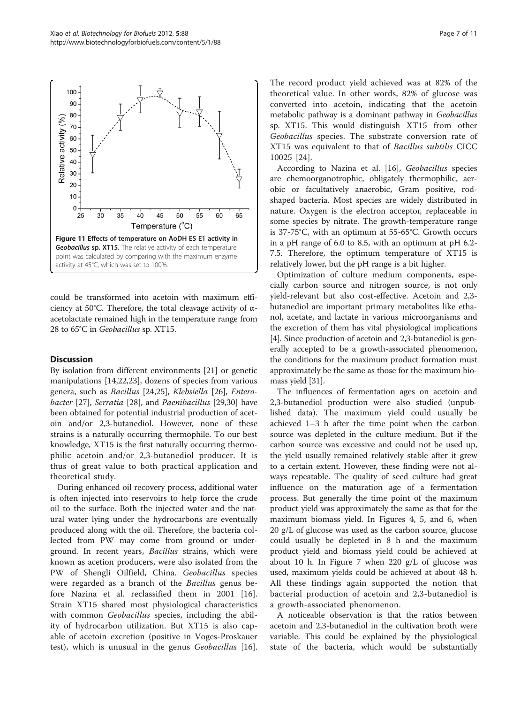<span id="page-6-0"></span>

could be transformed into acetoin with maximum efficiency at 50°C. Therefore, the total cleavage activity of αacetolactate remained high in the temperature range from 28 to 65°C in Geobacillus sp. XT15.

## **Discussion**

By isolation from different environments [[21\]](#page-10-0) or genetic manipulations [\[14,22,23\]](#page-10-0), dozens of species from various genera, such as Bacillus [\[24,25](#page-10-0)], Klebsiella [[26\]](#page-10-0), Enterobacter [\[27](#page-10-0)], Serratia [[28\]](#page-10-0), and Paenibacillus [[29,30](#page-10-0)] have been obtained for potential industrial production of acetoin and/or 2,3-butanediol. However, none of these strains is a naturally occurring thermophile. To our best knowledge, XT15 is the first naturally occurring thermophilic acetoin and/or 2,3-butanediol producer. It is thus of great value to both practical application and theoretical study.

During enhanced oil recovery process, additional water is often injected into reservoirs to help force the crude oil to the surface. Both the injected water and the natural water lying under the hydrocarbons are eventually produced along with the oil. Therefore, the bacteria collected from PW may come from ground or underground. In recent years, Bacillus strains, which were known as acetion producers, were also isolated from the PW of Shengli Oilfield, China. Geobacillus species were regarded as a branch of the *Bacillus* genus before Nazina et al. reclassified them in 2001 [[16](#page-10-0)]. Strain XT15 shared most physiological characteristics with common *Geobacillus* species, including the ability of hydrocarbon utilization. But XT15 is also capable of acetoin excretion (positive in Voges-Proskauer test), which is unusual in the genus Geobacillus [\[16](#page-10-0)].

The record product yield achieved was at 82% of the theoretical value. In other words, 82% of glucose was converted into acetoin, indicating that the acetoin metabolic pathway is a dominant pathway in Geobacillus sp. XT15. This would distinguish XT15 from other Geobacillus species. The substrate conversion rate of XT15 was equivalent to that of Bacillus subtilis CICC 10025 [[24\]](#page-10-0).

According to Nazina et al. [\[16](#page-10-0)], Geobacillus species are chemoorganotrophic, obligately thermophilic, aerobic or facultatively anaerobic, Gram positive, rodshaped bacteria. Most species are widely distributed in nature. Oxygen is the electron acceptor, replaceable in some species by nitrate. The growth-temperature range is 37-75°C, with an optimum at 55-65°C. Growth occurs in a pH range of 6.0 to 8.5, with an optimum at pH 6.2- 7.5. Therefore, the optimum temperature of XT15 is relatively lower, but the pH range is a bit higher.

Optimization of culture medium components, especially carbon source and nitrogen source, is not only yield-relevant but also cost-effective. Acetoin and 2,3 butanediol are important primary metabolites like ethanol, acetate, and lactate in various microorganisms and the excretion of them has vital physiological implications [[4\]](#page-9-0). Since production of acetoin and 2,3-butanediol is generally accepted to be a growth-associated phenomenon, the conditions for the maximum product formation must approximately be the same as those for the maximum biomass yield [[31](#page-10-0)].

The influences of fermentation ages on acetoin and 2,3-butanediol production were also studied (unpublished data). The maximum yield could usually be achieved 1–3 h after the time point when the carbon source was depleted in the culture medium. But if the carbon source was excessive and could not be used up, the yield usually remained relatively stable after it grew to a certain extent. However, these finding were not always repeatable. The quality of seed culture had great influence on the maturation age of a fermentation process. But generally the time point of the maximum product yield was approximately the same as that for the maximum biomass yield. In Figures [4, 5,](#page-3-0) and [6,](#page-3-0) when 20 g/L of glucose was used as the carbon source, glucose could usually be depleted in 8 h and the maximum product yield and biomass yield could be achieved at about 10 h. In Figure [7](#page-4-0) when 220 g/L of glucose was used, maximum yields could be achieved at about 48 h. All these findings again supported the notion that bacterial production of acetoin and 2,3-butanediol is a growth-associated phenomenon.

A noticeable observation is that the ratios between acetoin and 2,3-butanediol in the cultivation broth were variable. This could be explained by the physiological state of the bacteria, which would be substantially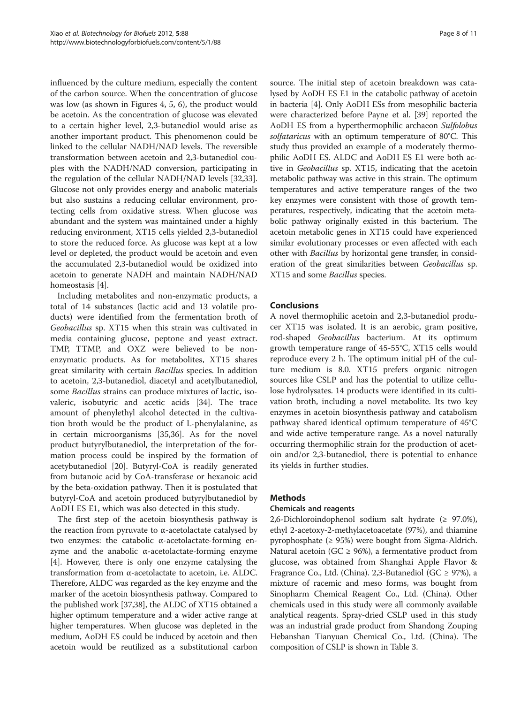influenced by the culture medium, especially the content of the carbon source. When the concentration of glucose was low (as shown in Figures [4](#page-3-0), [5, 6\)](#page-3-0), the product would be acetoin. As the concentration of glucose was elevated to a certain higher level, 2,3-butanediol would arise as another important product. This phenomenon could be linked to the cellular NADH/NAD levels. The reversible transformation between acetoin and 2,3-butanediol couples with the NADH/NAD conversion, participating in the regulation of the cellular NADH/NAD levels [\[32,33](#page-10-0)]. Glucose not only provides energy and anabolic materials but also sustains a reducing cellular environment, protecting cells from oxidative stress. When glucose was abundant and the system was maintained under a highly reducing environment, XT15 cells yielded 2,3-butanediol to store the reduced force. As glucose was kept at a low level or depleted, the product would be acetoin and even the accumulated 2,3-butanediol would be oxidized into acetoin to generate NADH and maintain NADH/NAD homeostasis [\[4](#page-9-0)].

Including metabolites and non-enzymatic products, a total of 14 substances (lactic acid and 13 volatile products) were identified from the fermentation broth of Geobacillus sp. XT15 when this strain was cultivated in media containing glucose, peptone and yeast extract. TMP, TTMP, and OXZ were believed to be nonenzymatic products. As for metabolites, XT15 shares great similarity with certain Bacillus species. In addition to acetoin, 2,3-butanediol, diacetyl and acetylbutanediol, some Bacillus strains can produce mixtures of lactic, isovaleric, isobutyric and acetic acids [\[34](#page-10-0)]. The trace amount of phenylethyl alcohol detected in the cultivation broth would be the product of L-phenylalanine, as in certain microorganisms [[35](#page-10-0),[36](#page-10-0)]. As for the novel product butyrylbutanediol, the interpretation of the formation process could be inspired by the formation of acetybutanediol [\[20\]](#page-10-0). Butyryl-CoA is readily generated from butanoic acid by CoA-transferase or hexanoic acid by the beta-oxidation pathway. Then it is postulated that butyryl-CoA and acetoin produced butyrylbutanediol by AoDH ES E1, which was also detected in this study.

The first step of the acetoin biosynthesis pathway is the reaction from pyruvate to α-acetolactate catalysed by two enzymes: the catabolic α-acetolactate-forming enzyme and the anabolic α-acetolactate-forming enzyme [[4\]](#page-9-0). However, there is only one enzyme catalysing the transformation from α-acetolactate to acetoin, i.e. ALDC. Therefore, ALDC was regarded as the key enzyme and the marker of the acetoin biosynthesis pathway. Compared to the published work [\[37,38\]](#page-10-0), the ALDC of XT15 obtained a higher optimum temperature and a wider active range at higher temperatures. When glucose was depleted in the medium, AoDH ES could be induced by acetoin and then acetoin would be reutilized as a substitutional carbon

source. The initial step of acetoin breakdown was catalysed by AoDH ES E1 in the catabolic pathway of acetoin in bacteria [[4\]](#page-9-0). Only AoDH ESs from mesophilic bacteria were characterized before Payne et al. [\[39](#page-10-0)] reported the AoDH ES from a hyperthermophilic archaeon Sulfolobus solfataricus with an optimum temperature of 80°C. This study thus provided an example of a moderately thermophilic AoDH ES. ALDC and AoDH ES E1 were both active in Geobacillus sp. XT15, indicating that the acetoin metabolic pathway was active in this strain. The optimum temperatures and active temperature ranges of the two key enzymes were consistent with those of growth temperatures, respectively, indicating that the acetoin metabolic pathway originally existed in this bacterium. The acetoin metabolic genes in XT15 could have experienced similar evolutionary processes or even affected with each other with Bacillus by horizontal gene transfer, in consideration of the great similarities between Geobacillus sp. XT15 and some Bacillus species.

## Conclusions

A novel thermophilic acetoin and 2,3-butanediol producer XT15 was isolated. It is an aerobic, gram positive, rod-shaped Geobacillus bacterium. At its optimum growth temperature range of 45-55°C, XT15 cells would reproduce every 2 h. The optimum initial pH of the culture medium is 8.0. XT15 prefers organic nitrogen sources like CSLP and has the potential to utilize cellulose hydrolysates. 14 products were identified in its cultivation broth, including a novel metabolite. Its two key enzymes in acetoin biosynthesis pathway and catabolism pathway shared identical optimum temperature of 45°C and wide active temperature range. As a novel naturally occurring thermophilic strain for the production of acetoin and/or 2,3-butanediol, there is potential to enhance its yields in further studies.

## Methods

## Chemicals and reagents

2,6-Dichloroindophenol sodium salt hydrate (≥ 97.0%), ethyl 2-acetoxy-2-methylacetoacetate (97%), and thiamine pyrophosphate (≥ 95%) were bought from Sigma-Aldrich. Natural acetoin (GC  $\geq$  96%), a fermentative product from glucose, was obtained from Shanghai Apple Flavor & Fragrance Co., Ltd. (China). 2,3-Butanediol (GC ≥ 97%), a mixture of racemic and meso forms, was bought from Sinopharm Chemical Reagent Co., Ltd. (China). Other chemicals used in this study were all commonly available analytical reagents. Spray-dried CSLP used in this study was an industrial grade product from Shandong Zouping Hebanshan Tianyuan Chemical Co., Ltd. (China). The composition of CSLP is shown in Table [3](#page-8-0).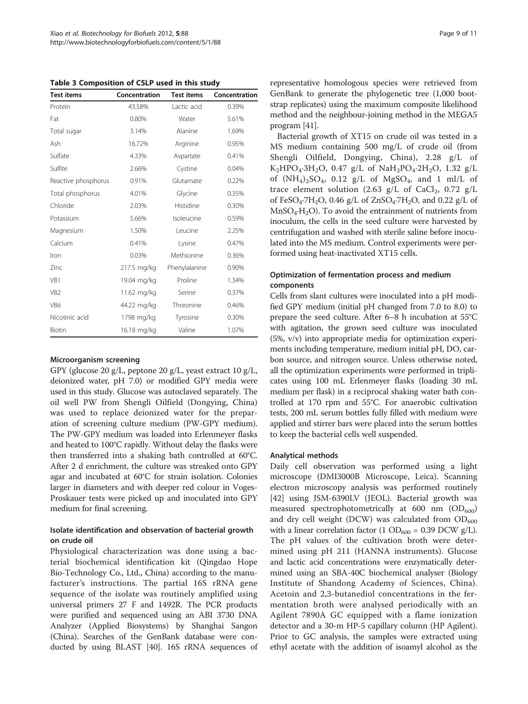<span id="page-8-0"></span>Table 3 Composition of CSLP used in this study

| <b>Test items</b>   | Concentration | <b>Test items</b> | Concentration |
|---------------------|---------------|-------------------|---------------|
| Protein             | 43.58%        | Lactic acid       | 0.39%         |
| Fat                 | 0.80%         | Water             | 5.61%         |
| Total sugar         | 3.14%         | Alanine           | 1.69%         |
| Ash                 | 16.72%        | Arginine          | 0.95%         |
| Sulfate             | 4.33%         | Aspartate         | 0.41%         |
| Sulfite             | 2.66%         | Cystine           | 0.04%         |
| Reactive phosphorus | 0.91%         | Glutamate         | 0.22%         |
| Total phosphorus    | 4.01%         | Glycine           | 0.35%         |
| Chloride            | 2.03%         | Histidine         | 0.30%         |
| Potassium           | 5.66%         | Isoleucine        | 0.59%         |
| Magnesium           | 1.50%         | Leucine           | 2.25%         |
| Calcium             | 0.41%         | Lysine            | 0.47%         |
| Iron                | 0.03%         | Methionine        | 0.36%         |
| Zinc                | 217.5 mg/kg   | Phenylalanine     | 0.90%         |
| VB1                 | 19.04 mg/kg   | Proline           | 1.34%         |
| VB <sub>2</sub>     | 11.62 mg/kg   | Serine            | 0.37%         |
| VB <sub>6</sub>     | 44.22 mg/kg   | Threonine         | 0.46%         |
| Nicotinic acid      | 1798 mg/kg    | Tyrosine          | 0.30%         |
| Biotin              | 16.18 mg/kg   | Valine            | 1.07%         |

#### Microorganism screening

GPY (glucose 20 g/L, peptone 20 g/L, yeast extract 10 g/L, deionized water, pH 7.0) or modified GPY media were used in this study. Glucose was autoclaved separately. The oil well PW from Shengli Oilfield (Dongying, China) was used to replace deionized water for the preparation of screening culture medium (PW-GPY medium). The PW-GPY medium was loaded into Erlenmeyer flasks and heated to 100°C rapidly. Without delay the flasks were then transferred into a shaking bath controlled at 60°C. After 2 d enrichment, the culture was streaked onto GPY agar and incubated at 60°C for strain isolation. Colonies larger in diameters and with deeper red colour in Voges-Proskauer tests were picked up and inoculated into GPY medium for final screening.

## Isolate identification and observation of bacterial growth on crude oil

Physiological characterization was done using a bacterial biochemical identification kit (Qingdao Hope Bio-Technology Co., Ltd., China) according to the manufacturer's instructions. The partial 16S rRNA gene sequence of the isolate was routinely amplified using universal primers 27 F and 1492R. The PCR products were purified and sequenced using an ABI 3730 DNA Analyzer (Applied Biosystems) by Shanghai Sangon (China). Searches of the GenBank database were conducted by using BLAST [\[40\]](#page-10-0). 16S rRNA sequences of

representative homologous species were retrieved from GenBank to generate the phylogenetic tree (1,000 bootstrap replicates) using the maximum composite likelihood method and the neighbour-joining method in the MEGA5 program [[41](#page-10-0)].

Bacterial growth of XT15 on crude oil was tested in a MS medium containing 500 mg/L of crude oil (from Shengli Oilfield, Dongying, China), 2.28 g/L of  $K_2HPO_4.3H_2O$ , 0.47 g/L of NaH<sub>2</sub>PO<sub>4</sub>.2H<sub>2</sub>O, 1.32 g/L of  $(NH_4)_2SO_4$ , 0.12 g/L of MgSO<sub>4</sub>, and 1 ml/L of trace element solution (2.63 g/L of CaCl<sub>2</sub>, 0.72 g/L of FeSO<sub>4</sub>·7H<sub>2</sub>O, 0.46 g/L of ZnSO<sub>4</sub>·7H<sub>2</sub>O, and 0.22 g/L of  $MnSO<sub>4</sub>·H<sub>2</sub>O$ ). To avoid the entrainment of nutrients from inoculum, the cells in the seed culture were harvested by centrifugation and washed with sterile saline before inoculated into the MS medium. Control experiments were performed using heat-inactivated XT15 cells.

## Optimization of fermentation process and medium components

Cells from slant cultures were inoculated into a pH modified GPY medium (initial pH changed from 7.0 to 8.0) to prepare the seed culture. After 6–8 h incubation at 55°C with agitation, the grown seed culture was inoculated (5%, v/v) into appropriate media for optimization experiments including temperature, medium initial pH, DO, carbon source, and nitrogen source. Unless otherwise noted, all the optimization experiments were performed in triplicates using 100 mL Erlenmeyer flasks (loading 30 mL medium per flask) in a reciprocal shaking water bath controlled at 170 rpm and 55°C. For anaerobic cultivation tests, 200 mL serum bottles fully filled with medium were applied and stirrer bars were placed into the serum bottles to keep the bacterial cells well suspended.

#### Analytical methods

Daily cell observation was performed using a light microscope (DMI3000B Microscope, Leica). Scanning electron microscopy analysis was performed routinely [[42\]](#page-10-0) using JSM-6390LV (JEOL). Bacterial growth was measured spectrophotometrically at 600 nm  $(OD_{600})$ and dry cell weight (DCW) was calculated from  $OD_{600}$ with a linear correlation factor  $(1 \text{ OD}_{600} = 0.39 \text{ DCW g/L}).$ The pH values of the cultivation broth were determined using pH 211 (HANNA instruments). Glucose and lactic acid concentrations were enzymatically determined using an SBA-40C biochemical analyser (Biology Institute of Shandong Academy of Sciences, China). Acetoin and 2,3-butanediol concentrations in the fermentation broth were analysed periodically with an Agilent 7890A GC equipped with a flame ionization detector and a 30-m HP-5 capillary column (HP Agilent). Prior to GC analysis, the samples were extracted using ethyl acetate with the addition of isoamyl alcohol as the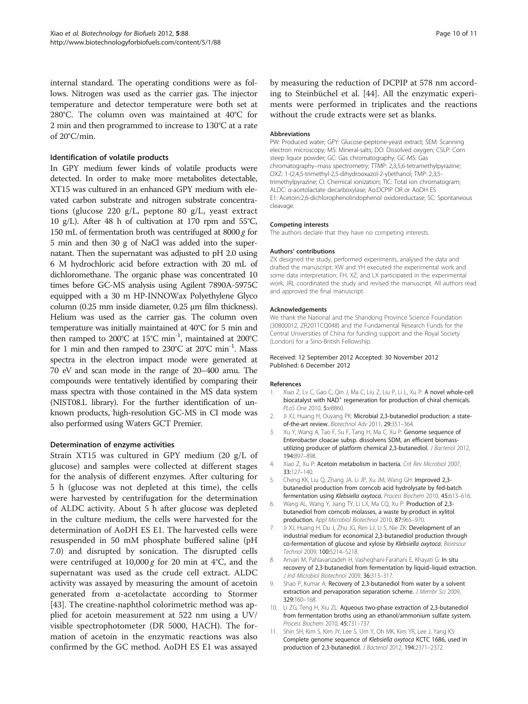<span id="page-9-0"></span>internal standard. The operating conditions were as follows. Nitrogen was used as the carrier gas. The injector temperature and detector temperature were both set at 280°C. The column oven was maintained at 40°C for 2 min and then programmed to increase to 130°C at a rate of 20°C/min.

## Identification of volatile products

In GPY medium fewer kinds of volatile products were detected. In order to make more metabolites detectable, XT15 was cultured in an enhanced GPY medium with elevated carbon substrate and nitrogen substrate concentrations (glucose 220 g/L, peptone 80 g/L, yeast extract 10 g/L). After 48 h of cultivation at 170 rpm and 55°C, 150 mL of fermentation broth was centrifuged at 8000 g for 5 min and then 30 g of NaCl was added into the supernatant. Then the supernatant was adjusted to pH 2.0 using 6 M hydrochloric acid before extraction with 20 mL of dichloromethane. The organic phase was concentrated 10 times before GC-MS analysis using Agilent 7890A-5975C equipped with a 30 m HP-INNOWax Polyethylene Glyco column (0.25 mm inside diameter, 0.25 μm film thickness). Helium was used as the carrier gas. The column oven temperature was initially maintained at 40°C for 5 min and then ramped to 200°C at 15°C min<sup>-1</sup>, maintained at 200°C for 1 min and then ramped to  $230^{\circ}$ C at  $20^{\circ}$ C min<sup>-1</sup>. Mass spectra in the electron impact mode were generated at 70 eV and scan mode in the range of 20–400 amu. The compounds were tentatively identified by comparing their mass spectra with those contained in the MS data system (NIST08.L library). For the further identification of unknown products, high-resolution GC-MS in CI mode was also performed using Waters GCT Premier.

## Determination of enzyme activities

Strain XT15 was cultured in GPY medium (20 g/L of glucose) and samples were collected at different stages for the analysis of different enzymes. After culturing for 5 h (glucose was not depleted at this time), the cells were harvested by centrifugation for the determination of ALDC activity. About 5 h after glucose was depleted in the culture medium, the cells were harvested for the determination of AoDH ES E1. The harvested cells were resuspended in 50 mM phosphate buffered saline (pH 7.0) and disrupted by sonication. The disrupted cells were centrifuged at  $10,000 g$  for 20 min at 4°C, and the supernatant was used as the crude cell extract. ALDC activity was assayed by measuring the amount of acetoin generated from α-acetolactate according to Stormer [[43\]](#page-10-0). The creatine-naphthol colorimetric method was applied for acetoin measurement at 522 nm using a UV/ visible spectrophotometer (DR 5000, HACH). The formation of acetoin in the enzymatic reactions was also confirmed by the GC method. AoDH ES E1 was assayed

by measuring the reduction of DCPIP at 578 nm according to Steinbüchel et al. [[44\]](#page-10-0). All the enzymatic experiments were performed in triplicates and the reactions without the crude extracts were set as blanks.

#### Abbreviations

PW: Produced water; GPY: Glucose-peptone-yeast extract; SEM: Scanning electron microscopy; MS: Mineral-salts; DO: Dissolved oxygen; CSLP: Corn steep liquor powder; GC: Gas chromatography; GC-MS: Gas chromatography–mass spectrometry; TTMP: 2,3,5,6-tetramethylpyrazine; OXZ: 1-(2,4,5-trimethyl-2,5-dihydrooxazol-2-yl)ethanol; TMP: 2,3,5 trimethylpyrazine; CI: Chemical ionization; TIC: Total ion chromatogram; ALDC: α-acetolactate decarboxylase; Ao:DCPIP OR or AoDH ES E1: Acetoin:2,6-dichlorophenolindophenol oxidoreductase; SC: Spontaneous cleavage.

#### Competing interests

The authors declare that they have no competing interests.

#### Authors' contributions

ZX designed the study, performed experiments, analysed the data and drafted the manuscript; XW and YH executed the experimental work and some data interpretation; FH, XZ, and LX participated in the experimental work; JRL coordinated the study and revised the manuscript. All authors read and approved the final manuscript.

#### Acknowledgements

We thank the National and the Shandong Province Science Foundation (30800012, ZR2011CQ048) and the Fundamental Research Funds for the Central Universities of China for funding support and the Royal Society (London) for a Sino-British Fellowship.

#### Received: 12 September 2012 Accepted: 30 November 2012 Published: 6 December 2012

#### References

- 1. Xiao Z, Lv C, Gao C, Qin J, Ma C, Liu Z, Liu P, Li L, Xu P: A novel whole-cell biocatalyst with NAD<sup>+</sup> regeneration for production of chiral chemicals. PLoS One 2010, 5:e8860.
- 2. Ji XJ, Huang H, Ouyang PK: Microbial 2,3-butanediol production: a stateof-the-art review. Biotechnol Adv 2011, 29:351–364.
- 3. Xu Y, Wang A, Tao F, Su F, Tang H, Ma C, Xu P: Genome sequence of Enterobacter cloacae subsp. dissolvens SDM, an efficient biomassutilizing producer of platform chemical 2,3-butanediol. J Bacteriol 2012, 194:897–898.
- 4. Xiao Z, Xu P: Acetoin metabolism in bacteria. Crit Rev Microbiol 2007, 33:127–140.
- 5. Cheng KK, Liu Q, Zhang JA, Li JP, Xu JM, Wang GH: Improved 2,3 butanediol production from corncob acid hydrolysate by fed-batch fermentation using Klebsiella oxytoca. Process Biochem 2010, 45:613–616.
- 6. Wang AL, Wang Y, Jiang TY, Li LX, Ma CQ, Xu P: Production of 2,3 butanediol from corncob molasses, a waste by-product in xylitol production. Appl Microbiol Biotechnol 2010, 87:965–970.
- 7. Ji XJ, Huang H, Du J, Zhu JG, Ren LJ, Li S, Nie ZK: Development of an industrial medium for economical 2,3-butanediol production through co-fermentation of glucose and xylose by Klebsiella oxytoca. Bioresour Technol 2009, 100:5214–5218.
- 8. Anvari M, Pahlavanzadeh H, Vasheghani-Farahani E, Khayati G: In situ recovery of 2,3-butanediol from fermentation by liquid–liquid extraction. J Ind Microbiol Biotechnol 2009, 36:313–317.
- 9. Shao P, Kumar A: Recovery of 2,3-butanediol from water by a solvent extraction and pervaporation separation scheme. J Membr Sci 2009, 329:160–168.
- 10. Li ZG, Teng H, Xiu ZL: Aqueous two-phase extraction of 2,3-butanediol from fermentation broths using an ethanol/ammonium sulfate system. Process Biochem 2010, 45:731–737.
- 11. Shin SH, Kim S, Kim JY, Lee S, Um Y, Oh MK, Kim YR, Lee J, Yang KS: Complete genome sequence of Klebsiella oxytoca KCTC 1686, used in production of 2,3-butanediol. J Bacteriol 2012, 194:2371–2372.